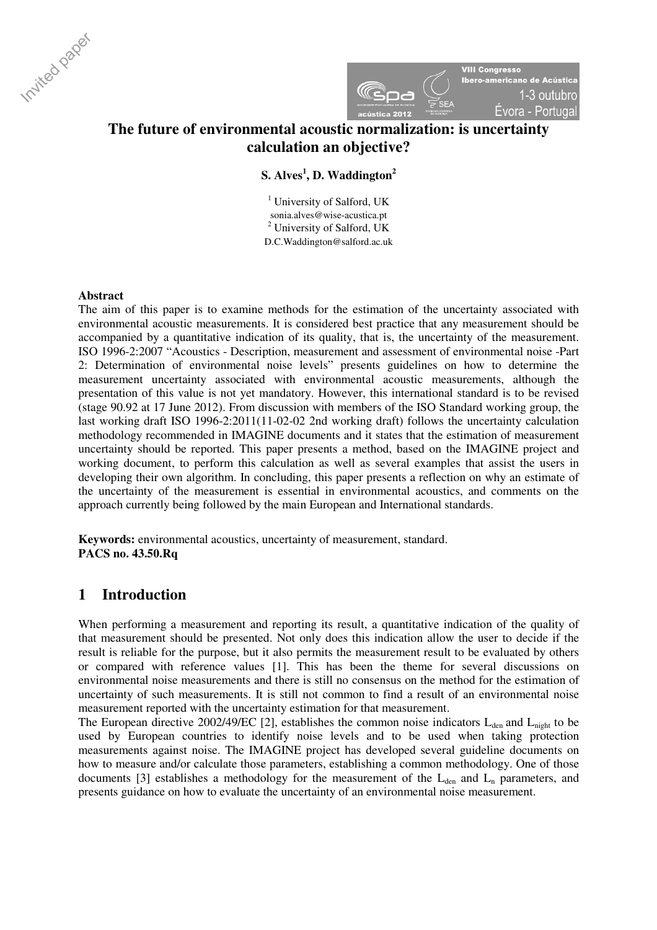



# **The future of environmental acoustic normalization: is uncertainty calculation an objective?**

## **S. Alves<sup>1</sup> , D. Waddington<sup>2</sup>**

<sup>1</sup> University of Salford, UK sonia.alves@wise-acustica.pt <sup>2</sup> University of Salford, UK D.C.Waddington@salford.ac.uk

## **Abstract**

The aim of this paper is to examine methods for the estimation of the uncertainty associated with environmental acoustic measurements. It is considered best practice that any measurement should be accompanied by a quantitative indication of its quality, that is, the uncertainty of the measurement. ISO 1996-2:2007 "Acoustics - Description, measurement and assessment of environmental noise -Part 2: Determination of environmental noise levels" presents guidelines on how to determine the measurement uncertainty associated with environmental acoustic measurements, although the presentation of this value is not yet mandatory. However, this international standard is to be revised (stage 90.92 at 17 June 2012). From discussion with members of the ISO Standard working group, the last working draft ISO 1996-2:2011(11-02-02 2nd working draft) follows the uncertainty calculation methodology recommended in IMAGINE documents and it states that the estimation of measurement uncertainty should be reported. This paper presents a method, based on the IMAGINE project and working document, to perform this calculation as well as several examples that assist the users in developing their own algorithm. In concluding, this paper presents a reflection on why an estimate of the uncertainty of the measurement is essential in environmental acoustics, and comments on the approach currently being followed by the main European and International standards.

**Keywords:** environmental acoustics, uncertainty of measurement, standard. **PACS no. 43.50.Rq** 

## **1 Introduction**

When performing a measurement and reporting its result, a quantitative indication of the quality of that measurement should be presented. Not only does this indication allow the user to decide if the result is reliable for the purpose, but it also permits the measurement result to be evaluated by others or compared with reference values [1]. This has been the theme for several discussions on environmental noise measurements and there is still no consensus on the method for the estimation of uncertainty of such measurements. It is still not common to find a result of an environmental noise measurement reported with the uncertainty estimation for that measurement.

The European directive 2002/49/EC [2], establishes the common noise indicators  $L_{den}$  and  $L_{night}$  to be used by European countries to identify noise levels and to be used when taking protection measurements against noise. The IMAGINE project has developed several guideline documents on how to measure and/or calculate those parameters, establishing a common methodology. One of those documents [3] establishes a methodology for the measurement of the  $L_{den}$  and  $L_n$  parameters, and presents guidance on how to evaluate the uncertainty of an environmental noise measurement.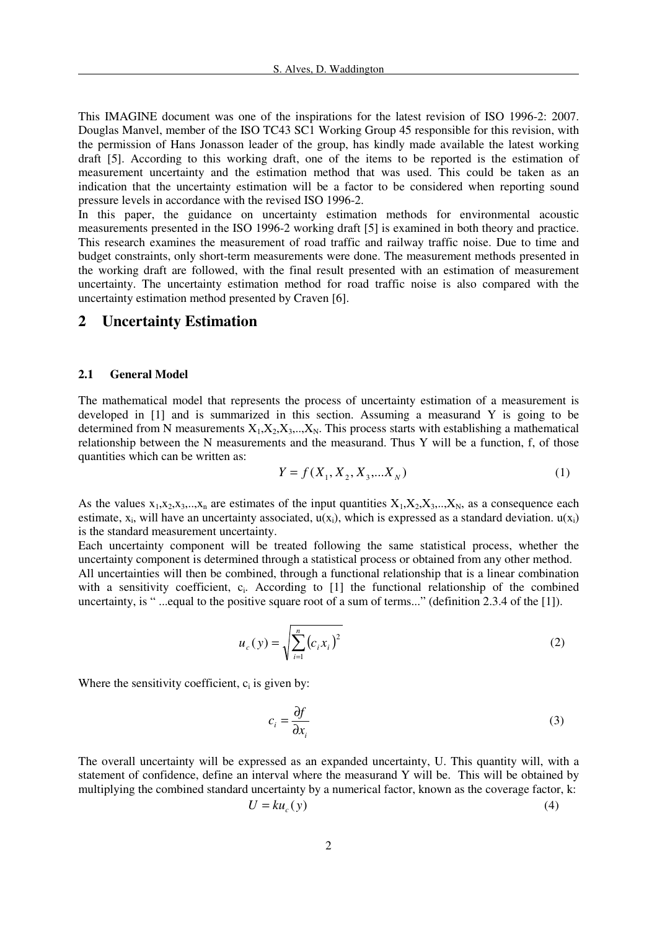This IMAGINE document was one of the inspirations for the latest revision of ISO 1996-2: 2007. Douglas Manvel, member of the ISO TC43 SC1 Working Group 45 responsible for this revision, with the permission of Hans Jonasson leader of the group, has kindly made available the latest working draft [5]. According to this working draft, one of the items to be reported is the estimation of measurement uncertainty and the estimation method that was used. This could be taken as an indication that the uncertainty estimation will be a factor to be considered when reporting sound pressure levels in accordance with the revised ISO 1996-2.

In this paper, the guidance on uncertainty estimation methods for environmental acoustic measurements presented in the ISO 1996-2 working draft [5] is examined in both theory and practice. This research examines the measurement of road traffic and railway traffic noise. Due to time and budget constraints, only short-term measurements were done. The measurement methods presented in the working draft are followed, with the final result presented with an estimation of measurement uncertainty. The uncertainty estimation method for road traffic noise is also compared with the uncertainty estimation method presented by Craven [6].

## **2 Uncertainty Estimation**

#### **2.1 General Model**

The mathematical model that represents the process of uncertainty estimation of a measurement is developed in [1] and is summarized in this section. Assuming a measurand Y is going to be determined from N measurements  $X_1, X_2, X_3, \ldots, X_N$ . This process starts with establishing a mathematical relationship between the N measurements and the measurand. Thus Y will be a function, f, of those quantities which can be written as:

$$
Y = f(X_1, X_2, X_3, \dots, X_N)
$$
 (1)

As the values  $x_1, x_2, x_3, \ldots, x_n$  are estimates of the input quantities  $X_1, X_2, X_3, \ldots, X_N$ , as a consequence each estimate,  $x_i$ , will have an uncertainty associated,  $u(x_i)$ , which is expressed as a standard deviation.  $u(x_i)$ is the standard measurement uncertainty.

Each uncertainty component will be treated following the same statistical process, whether the uncertainty component is determined through a statistical process or obtained from any other method. All uncertainties will then be combined, through a functional relationship that is a linear combination with a sensitivity coefficient, c<sub>i</sub>. According to [1] the functional relationship of the combined uncertainty, is " ...equal to the positive square root of a sum of terms..." (definition 2.3.4 of the [1]).

$$
u_c(y) = \sqrt{\sum_{i=1}^{n} (c_i x_i)^2}
$$
 (2)

Where the sensitivity coefficient,  $c_i$  is given by:

$$
c_i = \frac{\partial f}{\partial x_i} \tag{3}
$$

The overall uncertainty will be expressed as an expanded uncertainty, U. This quantity will, with a statement of confidence, define an interval where the measurand Y will be. This will be obtained by multiplying the combined standard uncertainty by a numerical factor, known as the coverage factor, k:  $U$ 

$$
I = ku_c(y) \tag{4}
$$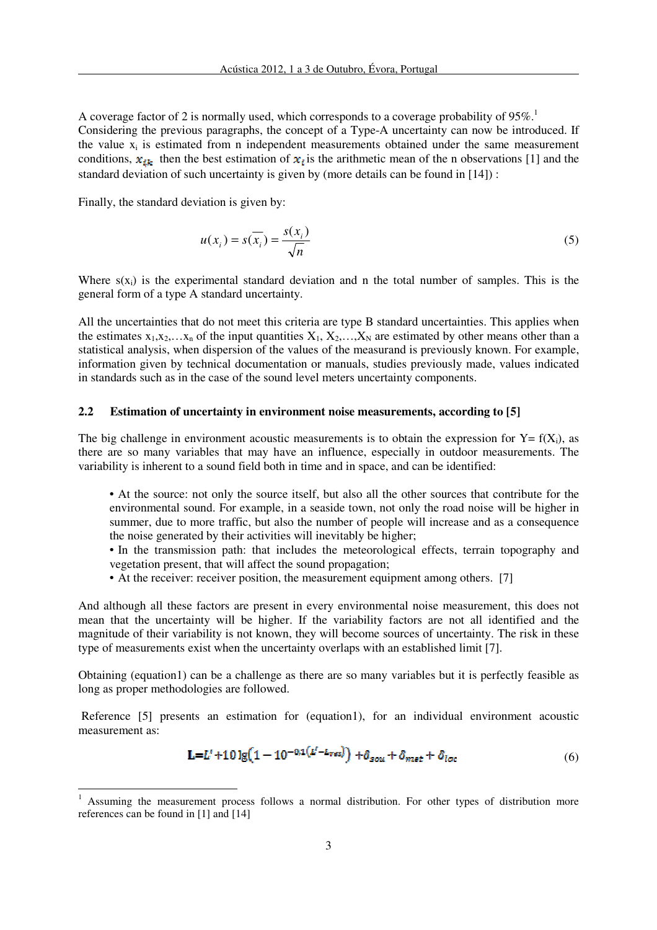A coverage factor of 2 is normally used, which corresponds to a coverage probability of  $95\%$ .<sup>1</sup> Considering the previous paragraphs, the concept of a Type-A uncertainty can now be introduced. If the value  $x_i$  is estimated from n independent measurements obtained under the same measurement conditions,  $x_{ik}$  then the best estimation of  $x_i$  is the arithmetic mean of the n observations [1] and the standard deviation of such uncertainty is given by (more details can be found in [14]) :

Finally, the standard deviation is given by:

 $\overline{\phantom{a}}$ 

$$
u(x_i) = s(\overline{x_i}) = \frac{s(x_i)}{\sqrt{n}}\tag{5}
$$

Where  $s(x_i)$  is the experimental standard deviation and n the total number of samples. This is the general form of a type A standard uncertainty.

All the uncertainties that do not meet this criteria are type B standard uncertainties. This applies when the estimates  $x_1, x_2,...x_n$  of the input quantities  $X_1, X_2,...,X_N$  are estimated by other means other than a statistical analysis, when dispersion of the values of the measurand is previously known. For example, information given by technical documentation or manuals, studies previously made, values indicated in standards such as in the case of the sound level meters uncertainty components.

#### **2.2 Estimation of uncertainty in environment noise measurements, according to [5]**

The big challenge in environment acoustic measurements is to obtain the expression for  $Y = f(X_i)$ , as there are so many variables that may have an influence, especially in outdoor measurements. The variability is inherent to a sound field both in time and in space, and can be identified:

• At the source: not only the source itself, but also all the other sources that contribute for the environmental sound. For example, in a seaside town, not only the road noise will be higher in summer, due to more traffic, but also the number of people will increase and as a consequence the noise generated by their activities will inevitably be higher;

• In the transmission path: that includes the meteorological effects, terrain topography and vegetation present, that will affect the sound propagation;

• At the receiver: receiver position, the measurement equipment among others. [7]

And although all these factors are present in every environmental noise measurement, this does not mean that the uncertainty will be higher. If the variability factors are not all identified and the magnitude of their variability is not known, they will become sources of uncertainty. The risk in these type of measurements exist when the uncertainty overlaps with an established limit [7].

Obtaining (equation1) can be a challenge as there are so many variables but it is perfectly feasible as long as proper methodologies are followed.

Reference [5] presents an estimation for (equation1), for an individual environment acoustic measurement as:

$$
L = L' + 10 \lg(1 - 10^{-0.1(L' - L_{res})}) + \delta_{sou} + \delta_{mset} + \delta_{loc}
$$
 (6)

<sup>1</sup> Assuming the measurement process follows a normal distribution. For other types of distribution more references can be found in [1] and [14]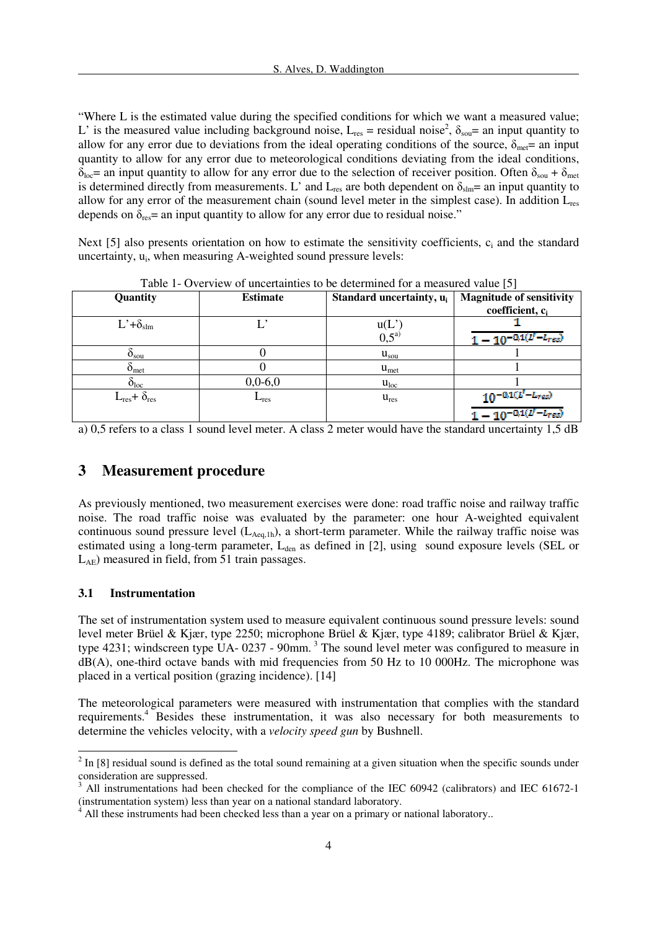"Where L is the estimated value during the specified conditions for which we want a measured value; L' is the measured value including background noise,  $L_{res}$  = residual noise<sup>2</sup>,  $\delta_{sou}$ = an input quantity to allow for any error due to deviations from the ideal operating conditions of the source,  $\delta_{\text{met}}$  an input quantity to allow for any error due to meteorological conditions deviating from the ideal conditions,  $\delta_{\text{loc}}$ = an input quantity to allow for any error due to the selection of receiver position. Often  $\delta_{\text{sou}} + \delta_{\text{met}}$ is determined directly from measurements. L' and  $L_{res}$  are both dependent on  $\delta_{slm}=$  an input quantity to allow for any error of the measurement chain (sound level meter in the simplest case). In addition Lres depends on  $\delta_{\text{res}}$  = an input quantity to allow for any error due to residual noise."

Next [5] also presents orientation on how to estimate the sensitivity coefficients, c<sub>i</sub> and the standard uncertainty, u<sub>i</sub>, when measuring A-weighted sound pressure levels:

|                                  |                 |                                      | . .                                                            |
|----------------------------------|-----------------|--------------------------------------|----------------------------------------------------------------|
| Quantity                         | <b>Estimate</b> | Standard uncertainty, u <sub>i</sub> | <b>Magnitude of sensitivity</b><br>coefficient, c <sub>i</sub> |
| $L^{\prime}+\delta_{\text{slm}}$ |                 | u(L)<br>$0.5^{a}$                    | $1 - 10^{-0.1 (l' - L_{res})}$                                 |
| $O_{\text{sou}}$                 |                 | $u_{sou}$                            |                                                                |
| O <sub>met</sub>                 |                 | $u_{\text{met}}$                     |                                                                |
| $\delta_{loc}$                   | $0,0-6,0$       | $u_{loc}$                            |                                                                |
| $L_{res}$ + $\delta_{res}$       | $L_{res}$       | $u_{res}$                            | $10^{-0.1(L'-L_{res})}$                                        |
|                                  |                 |                                      | $1 - 10^{-0.1(U-L_{res})}$                                     |

Table 1- Overview of uncertainties to be determined for a measured value [5]

a) 0,5 refers to a class 1 sound level meter. A class 2 meter would have the standard uncertainty 1,5 dB

## **3 Measurement procedure**

As previously mentioned, two measurement exercises were done: road traffic noise and railway traffic noise. The road traffic noise was evaluated by the parameter: one hour A-weighted equivalent continuous sound pressure level  $(L_{Aea,1h})$ , a short-term parameter. While the railway traffic noise was estimated using a long-term parameter,  $L_{den}$  as defined in [2], using sound exposure levels (SEL or LAE) measured in field, from 51 train passages.

#### **3.1 Instrumentation**

 $\overline{a}$ 

The set of instrumentation system used to measure equivalent continuous sound pressure levels: sound level meter Brüel & Kjær, type 2250; microphone Brüel & Kjær, type 4189; calibrator Brüel & Kjær, type 4231; windscreen type UA- 0237 - 90mm.<sup>3</sup> The sound level meter was configured to measure in dB(A), one-third octave bands with mid frequencies from 50 Hz to 10 000Hz. The microphone was placed in a vertical position (grazing incidence). [14]

The meteorological parameters were measured with instrumentation that complies with the standard requirements.<sup>4</sup> Besides these instrumentation, it was also necessary for both measurements to determine the vehicles velocity, with a *velocity speed gun* by Bushnell.

 $2 \text{ In } [8]$  residual sound is defined as the total sound remaining at a given situation when the specific sounds under consideration are suppressed.<br> $3 \times 11$  instrumentations had be

All instrumentations had been checked for the compliance of the IEC 60942 (calibrators) and IEC 61672-1 (instrumentation system) less than year on a national standard laboratory.

<sup>4</sup> All these instruments had been checked less than a year on a primary or national laboratory..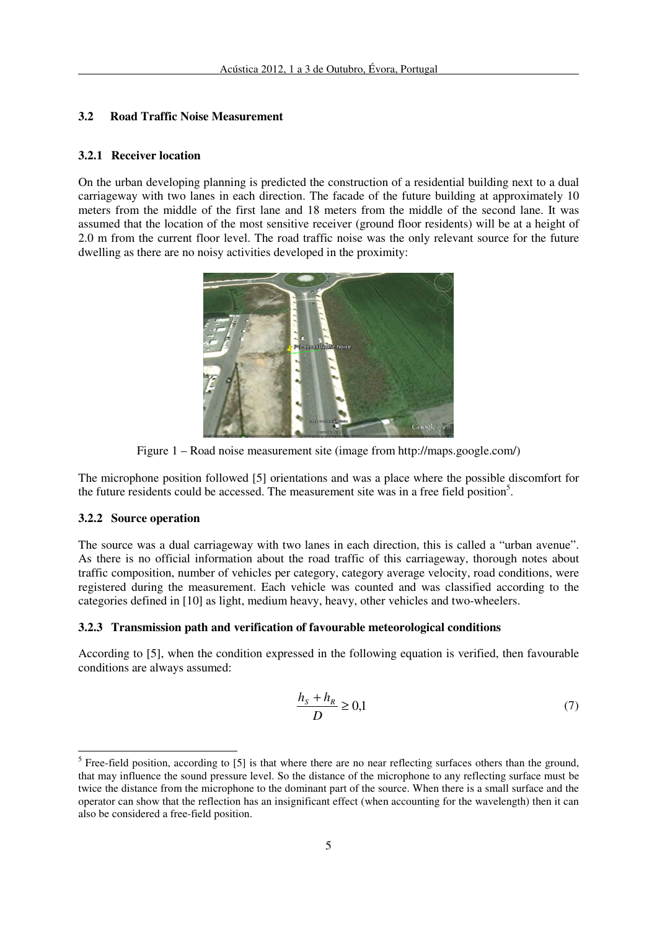### **3.2 Road Traffic Noise Measurement**

#### **3.2.1 Receiver location**

On the urban developing planning is predicted the construction of a residential building next to a dual carriageway with two lanes in each direction. The facade of the future building at approximately 10 meters from the middle of the first lane and 18 meters from the middle of the second lane. It was assumed that the location of the most sensitive receiver (ground floor residents) will be at a height of 2.0 m from the current floor level. The road traffic noise was the only relevant source for the future dwelling as there are no noisy activities developed in the proximity:



Figure 1 – Road noise measurement site (image from http://maps.google.com/)

The microphone position followed [5] orientations and was a place where the possible discomfort for the future residents could be accessed. The measurement site was in a free field position<sup>5</sup>.

#### **3.2.2 Source operation**

 $\overline{a}$ 

The source was a dual carriageway with two lanes in each direction, this is called a "urban avenue". As there is no official information about the road traffic of this carriageway, thorough notes about traffic composition, number of vehicles per category, category average velocity, road conditions, were registered during the measurement. Each vehicle was counted and was classified according to the categories defined in [10] as light, medium heavy, heavy, other vehicles and two-wheelers.

#### **3.2.3 Transmission path and verification of favourable meteorological conditions**

According to [5], when the condition expressed in the following equation is verified, then favourable conditions are always assumed:

$$
\frac{h_s + h_R}{D} \ge 0,1\tag{7}
$$

<sup>&</sup>lt;sup>5</sup> Free-field position, according to [5] is that where there are no near reflecting surfaces others than the ground, that may influence the sound pressure level. So the distance of the microphone to any reflecting surface must be twice the distance from the microphone to the dominant part of the source. When there is a small surface and the operator can show that the reflection has an insignificant effect (when accounting for the wavelength) then it can also be considered a free-field position.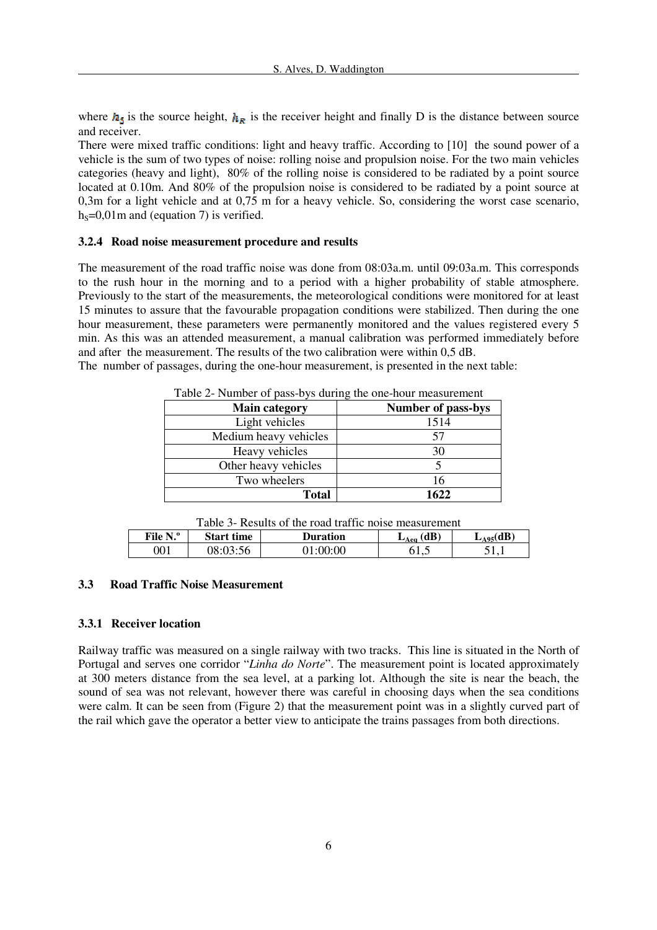where  $h_{\rm s}$  is the source height,  $h_{\rm g}$  is the receiver height and finally D is the distance between source and receiver.

There were mixed traffic conditions: light and heavy traffic. According to [10] the sound power of a vehicle is the sum of two types of noise: rolling noise and propulsion noise. For the two main vehicles categories (heavy and light), 80% of the rolling noise is considered to be radiated by a point source located at 0.10m. And 80% of the propulsion noise is considered to be radiated by a point source at 0,3m for a light vehicle and at 0,75 m for a heavy vehicle. So, considering the worst case scenario,  $h<sub>S</sub>=0,01m$  and (equation 7) is verified.

#### **3.2.4 Road noise measurement procedure and results**

The measurement of the road traffic noise was done from 08:03a.m. until 09:03a.m. This corresponds to the rush hour in the morning and to a period with a higher probability of stable atmosphere. Previously to the start of the measurements, the meteorological conditions were monitored for at least 15 minutes to assure that the favourable propagation conditions were stabilized. Then during the one hour measurement, these parameters were permanently monitored and the values registered every 5 min. As this was an attended measurement, a manual calibration was performed immediately before and after the measurement. The results of the two calibration were within 0,5 dB.

The number of passages, during the one-hour measurement, is presented in the next table:

| Table 2- Number of pass-bys during the one-hour measurement |                           |  |
|-------------------------------------------------------------|---------------------------|--|
| <b>Main category</b>                                        | <b>Number of pass-bys</b> |  |
| Light vehicles                                              | 1514                      |  |
| Medium heavy vehicles                                       | 57                        |  |
| Heavy vehicles                                              | 30                        |  |
| Other heavy vehicles                                        |                           |  |
| Two wheelers                                                | 16                        |  |
| Total                                                       | 1622                      |  |

Table 2- Number of pass-bys during the one-hour measurement

|  | Table 3- Results of the road traffic noise measurement |
|--|--------------------------------------------------------|
|--|--------------------------------------------------------|

| File N.º | <b>Start time</b> | Duration | (dB)<br>$L$ Aeq | $L_{A95}(dB)$ |
|----------|-------------------|----------|-----------------|---------------|
| 001      | 08:03:56          | :00:00   | ບ⊥⊾             | .             |

#### **3.3 Road Traffic Noise Measurement**

### **3.3.1 Receiver location**

Railway traffic was measured on a single railway with two tracks. This line is situated in the North of Portugal and serves one corridor "*Linha do Norte*". The measurement point is located approximately at 300 meters distance from the sea level, at a parking lot. Although the site is near the beach, the sound of sea was not relevant, however there was careful in choosing days when the sea conditions were calm. It can be seen from (Figure 2) that the measurement point was in a slightly curved part of the rail which gave the operator a better view to anticipate the trains passages from both directions.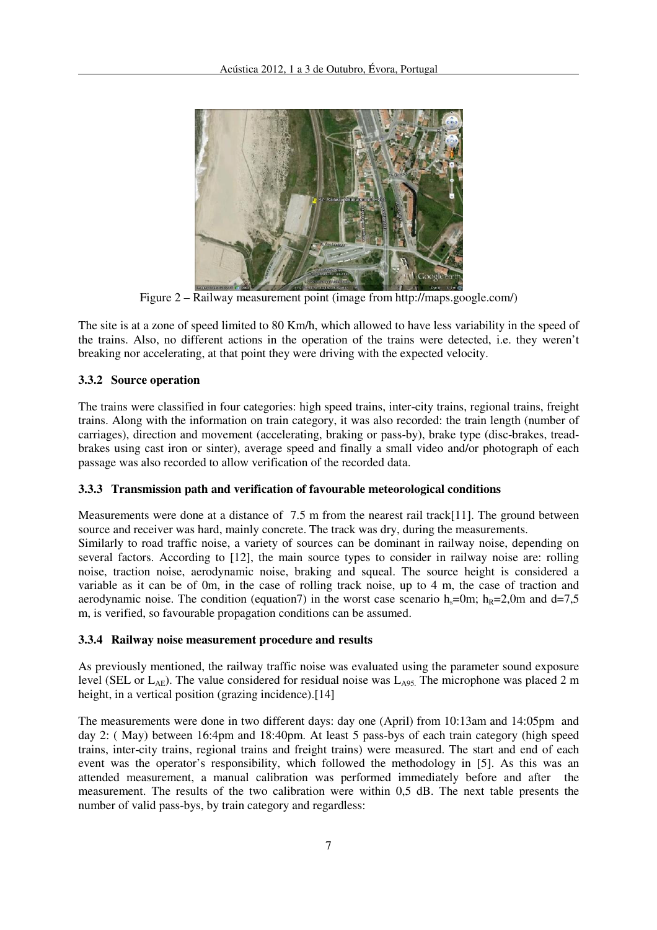

Figure 2 – Railway measurement point (image from http://maps.google.com/)

The site is at a zone of speed limited to 80 Km/h, which allowed to have less variability in the speed of the trains. Also, no different actions in the operation of the trains were detected, i.e. they weren't breaking nor accelerating, at that point they were driving with the expected velocity.

## **3.3.2 Source operation**

The trains were classified in four categories: high speed trains, inter-city trains, regional trains, freight trains. Along with the information on train category, it was also recorded: the train length (number of carriages), direction and movement (accelerating, braking or pass-by), brake type (disc-brakes, treadbrakes using cast iron or sinter), average speed and finally a small video and/or photograph of each passage was also recorded to allow verification of the recorded data.

## **3.3.3 Transmission path and verification of favourable meteorological conditions**

Measurements were done at a distance of 7.5 m from the nearest rail track[11]. The ground between source and receiver was hard, mainly concrete. The track was dry, during the measurements. Similarly to road traffic noise, a variety of sources can be dominant in railway noise, depending on several factors. According to [12], the main source types to consider in railway noise are: rolling noise, traction noise, aerodynamic noise, braking and squeal. The source height is considered a variable as it can be of 0m, in the case of rolling track noise, up to 4 m, the case of traction and aerodynamic noise. The condition (equation7) in the worst case scenario  $h_s=0$ m;  $h_R=2,0$ m and d=7,5 m, is verified, so favourable propagation conditions can be assumed.

## **3.3.4 Railway noise measurement procedure and results**

As previously mentioned, the railway traffic noise was evaluated using the parameter sound exposure level (SEL or  $L_{AE}$ ). The value considered for residual noise was  $L_{A95}$ . The microphone was placed 2 m height, in a vertical position (grazing incidence).<sup>[14]</sup>

The measurements were done in two different days: day one (April) from 10:13am and 14:05pm and day 2: ( May) between 16:4pm and 18:40pm. At least 5 pass-bys of each train category (high speed trains, inter-city trains, regional trains and freight trains) were measured. The start and end of each event was the operator's responsibility, which followed the methodology in [5]. As this was an attended measurement, a manual calibration was performed immediately before and after the measurement. The results of the two calibration were within 0,5 dB. The next table presents the number of valid pass-bys, by train category and regardless: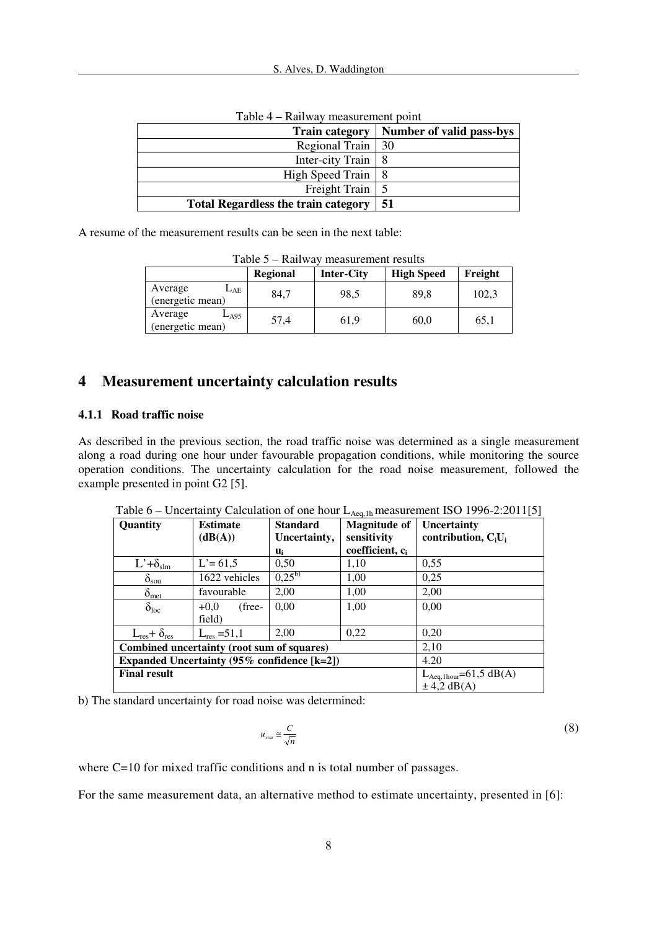| <b>Train category</b>                      | Number of valid pass-bys |
|--------------------------------------------|--------------------------|
| Regional Train   30                        |                          |
| Inter-city Train                           |                          |
| High Speed Train   8                       |                          |
| Freight Train                              |                          |
| <b>Total Regardless the train category</b> | -51                      |

Table 4 – Railway measurement point

A resume of the measurement results can be seen in the next table:

| $1$ able $3$ – Kallway measurement results  |                 |                   |                   |         |  |  |  |
|---------------------------------------------|-----------------|-------------------|-------------------|---------|--|--|--|
|                                             | <b>Regional</b> | <b>Inter-City</b> | <b>High Speed</b> | Freight |  |  |  |
| Average<br>$L_{\rm AE}$<br>(energetic mean) | 84.7            | 98.5              | 89.8              | 102.3   |  |  |  |
| Average<br>$L_{A95}$<br>(energetic mean)    | 57,4            | 61,9              | 60,0              | 65,1    |  |  |  |

Table 5 – Railway measurement results

## **4 Measurement uncertainty calculation results**

#### **4.1.1 Road traffic noise**

As described in the previous section, the road traffic noise was determined as a single measurement along a road during one hour under favourable propagation conditions, while monitoring the source operation conditions. The uncertainty calculation for the road noise measurement, followed the example presented in point G2 [5].

|                                                         | encerally calculation of one now $L_{\text{Aeff}}$ incasarement to $\sigma$ 1770 $\pm$ 12011 $ \sigma $ |                                 |                                    |                                                          |  |  |  |
|---------------------------------------------------------|---------------------------------------------------------------------------------------------------------|---------------------------------|------------------------------------|----------------------------------------------------------|--|--|--|
| Quantity                                                | <b>Estimate</b><br>(dB(A))                                                                              | <b>Standard</b><br>Uncertainty, | <b>Magnitude of</b><br>sensitivity | Uncertainty<br>contribution, $C_iU_i$                    |  |  |  |
|                                                         |                                                                                                         | $\mathbf{u}_{i}$                | coefficient, c <sub>i</sub>        |                                                          |  |  |  |
| $L^{\prime} + \delta_{\text{slm}}$                      | $L' = 61,5$                                                                                             | 0,50                            | 1.10                               | 0,55                                                     |  |  |  |
| $\delta_{\rm sou}$                                      | 1622 vehicles                                                                                           | $0.25^{b}$                      | 1.00                               | 0,25                                                     |  |  |  |
| $\delta_{\rm met}$                                      | favourable                                                                                              | 2,00                            | 1.00                               | 2,00                                                     |  |  |  |
| $\delta_{loc}$                                          | (free-<br>$+0.0$<br>field)                                                                              | 0.00                            | 1,00                               | 0.00                                                     |  |  |  |
| $L_{res} + \delta_{res}$                                | $L_{res} = 51.1$                                                                                        | 2.00                            | 0,22                               | 0,20                                                     |  |  |  |
| Combined uncertainty (root sum of squares)              | 2,10                                                                                                    |                                 |                                    |                                                          |  |  |  |
| Expanded Uncertainty $(95\% \text{ confidence } [k=2])$ | 4.20                                                                                                    |                                 |                                    |                                                          |  |  |  |
| <b>Final result</b>                                     |                                                                                                         |                                 |                                    | $L_{Aeq,1 hour} = 61,5 \text{ dB}(A)$<br>$\pm$ 4,2 dB(A) |  |  |  |

Table 6 – Uncertainty Calculation of one hour  $L_{A_{\text{eq}}\,1h}$  measurement ISO 1996-2:2011[5]

b) The standard uncertainty for road noise was determined:

$$
u_{sou} \cong \frac{C}{\sqrt{n}}\tag{8}
$$

where C=10 for mixed traffic conditions and n is total number of passages.

For the same measurement data, an alternative method to estimate uncertainty, presented in [6]: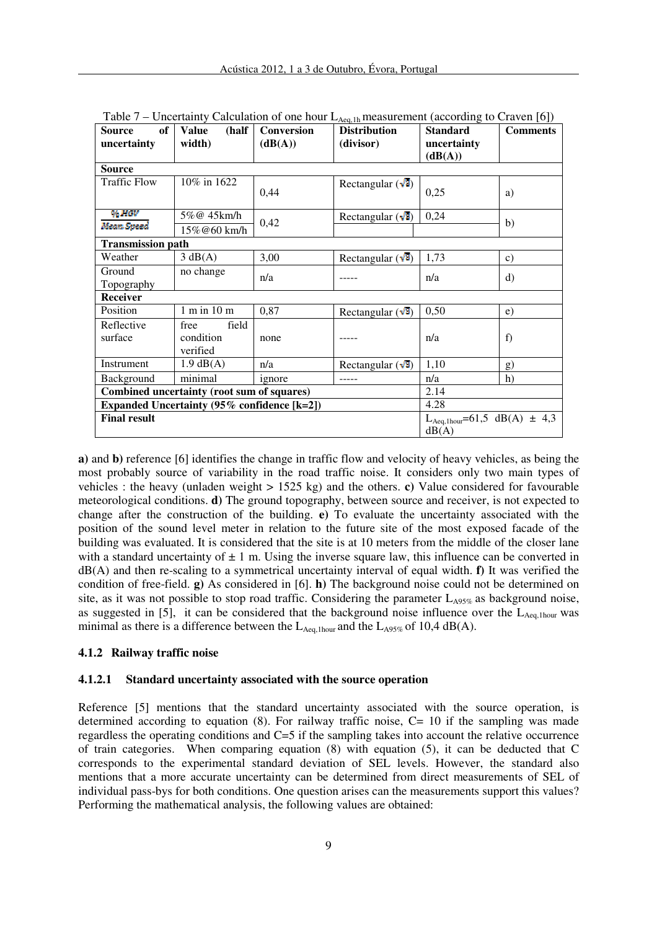| of<br><b>Source</b><br>uncertainty          | (half<br><b>Value</b><br>width)        | <b>Conversion</b><br>(dB(A)) | <b>Distribution</b><br>(divisor) | ັ<br><b>Standard</b><br>uncertainty<br>(dB(A))         | $\sim$ $\sim$<br><b>Comments</b> |
|---------------------------------------------|----------------------------------------|------------------------------|----------------------------------|--------------------------------------------------------|----------------------------------|
| <b>Source</b>                               |                                        |                              |                                  |                                                        |                                  |
| <b>Traffic Flow</b>                         | 10% in 1622                            | 0,44                         | Rectangular $(\sqrt{3})$         | 0,25                                                   | a)                               |
| 95 HGV                                      | 5%@ 45km/h                             | 0,42                         | Rectangular $(\sqrt{3})$         | 0,24                                                   |                                  |
| Mean Speed                                  | 15%@60 km/h                            |                              |                                  |                                                        | b)                               |
| <b>Transmission path</b>                    |                                        |                              |                                  |                                                        |                                  |
| Weather                                     | 3 dB(A)                                | 3,00                         | Rectangular $(\sqrt{3})$         | 1,73                                                   | c)                               |
| Ground<br>Topography                        | no change                              | n/a                          |                                  | n/a                                                    | d)                               |
| <b>Receiver</b>                             |                                        |                              |                                  |                                                        |                                  |
| Position                                    | $1 \text{ m in } 10 \text{ m}$         | 0,87                         | Rectangular $(\sqrt{3})$         | 0,50                                                   | e)                               |
| Reflective<br>surface                       | field<br>free<br>condition<br>verified | none                         |                                  | n/a                                                    | f)                               |
| Instrument                                  | $1.9$ dB(A)                            | n/a                          | Rectangular $(\sqrt{3})$         | 1,10                                                   | g)                               |
| Background                                  | minimal                                | ignore                       | -----                            | n/a                                                    | h)                               |
| Combined uncertainty (root sum of squares)  |                                        |                              |                                  | 2.14                                                   |                                  |
| Expanded Uncertainty (95% confidence [k=2]) |                                        |                              |                                  | 4.28                                                   |                                  |
| <b>Final result</b>                         |                                        |                              |                                  | $L_{Aeq,1 hour} = 61,5 \text{ dB}(A) \pm 4,3$<br>dB(A) |                                  |

Table 7 – Uncertainty Calculation of one hour  $L_{\text{Aeg lb}}$  measurement (according to Craven [6])

**a)** and **b)** reference [6] identifies the change in traffic flow and velocity of heavy vehicles, as being the most probably source of variability in the road traffic noise. It considers only two main types of vehicles : the heavy (unladen weight > 1525 kg) and the others. **c)** Value considered for favourable meteorological conditions. **d)** The ground topography, between source and receiver, is not expected to change after the construction of the building. **e)** To evaluate the uncertainty associated with the position of the sound level meter in relation to the future site of the most exposed facade of the building was evaluated. It is considered that the site is at 10 meters from the middle of the closer lane with a standard uncertainty of  $\pm 1$  m. Using the inverse square law, this influence can be converted in dB(A) and then re-scaling to a symmetrical uncertainty interval of equal width. **f)** It was verified the condition of free-field. **g)** As considered in [6]. **h)** The background noise could not be determined on site, as it was not possible to stop road traffic. Considering the parameter  $L_{A95\%}$  as background noise, as suggested in [5], it can be considered that the background noise influence over the  $L_{A_{eq,1 hour}}$  was minimal as there is a difference between the  $L_{Aeq,1 hour}$  and the  $L_{A95\%}$  of 10,4 dB(A).

## **4.1.2 Railway traffic noise**

#### **4.1.2.1 Standard uncertainty associated with the source operation**

Reference [5] mentions that the standard uncertainty associated with the source operation, is determined according to equation (8). For railway traffic noise,  $C= 10$  if the sampling was made regardless the operating conditions and C=5 if the sampling takes into account the relative occurrence of train categories. When comparing equation (8) with equation (5), it can be deducted that C corresponds to the experimental standard deviation of SEL levels. However, the standard also mentions that a more accurate uncertainty can be determined from direct measurements of SEL of individual pass-bys for both conditions. One question arises can the measurements support this values? Performing the mathematical analysis, the following values are obtained: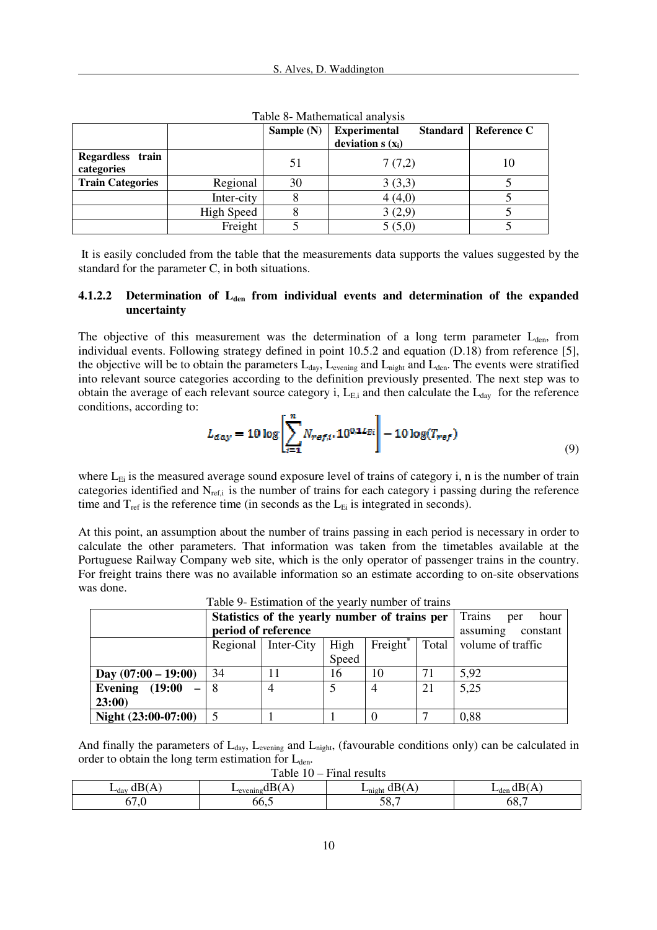|                                |                   | Sample $(N)$ | <b>Experimental</b><br><b>Standard</b><br>deviation $s(x_i)$ | Reference C |
|--------------------------------|-------------------|--------------|--------------------------------------------------------------|-------------|
| Regardless train<br>categories |                   | 51           | 7(7,2)                                                       | 10          |
| <b>Train Categories</b>        | Regional          | 30           | 3(3,3)                                                       |             |
|                                | Inter-city        |              | 4(4,0)                                                       |             |
|                                | <b>High Speed</b> |              | 3(2,9)                                                       |             |
|                                | Freight           |              | 5(5,0)                                                       |             |

Table 8- Mathematical analysis

 It is easily concluded from the table that the measurements data supports the values suggested by the standard for the parameter C, in both situations.

### **4.1.2.2 Determination of Lden from individual events and determination of the expanded uncertainty**

The objective of this measurement was the determination of a long term parameter  $L_{den}$ , from individual events. Following strategy defined in point 10.5.2 and equation (D.18) from reference [5], the objective will be to obtain the parameters  $L_{day}$ ,  $L_{evening}$  and  $L_{night}$  and  $L_{den}$ . The events were stratified into relevant source categories according to the definition previously presented. The next step was to obtain the average of each relevant source category i,  $L_{E,i}$  and then calculate the  $L_{day}$  for the reference conditions, according to:

$$
L_{day} = 10 \log \left[ \sum_{i=1}^{n} N_{ref,i} \cdot 10^{0,1 L_{Ei}} \right] - 10 \log(T_{ref}) \tag{9}
$$

where  $L_{Ei}$  is the measured average sound exposure level of trains of category i, n is the number of train categories identified and  $N_{ref,i}$  is the number of trains for each category i passing during the reference time and  $T_{ref}$  is the reference time (in seconds as the  $L_{E_i}$  is integrated in seconds).

At this point, an assumption about the number of trains passing in each period is necessary in order to calculate the other parameters. That information was taken from the timetables available at the Portuguese Railway Company web site, which is the only operator of passenger trains in the country. For freight trains there was no available information so an estimate according to on-site observations was done.

|                       | Statistics of the yearly number of trains per |                                                              |       |                |                   | Trains<br>hour<br>per |
|-----------------------|-----------------------------------------------|--------------------------------------------------------------|-------|----------------|-------------------|-----------------------|
|                       | period of reference                           |                                                              |       |                |                   | assuming<br>constant  |
|                       |                                               | Freight <sup>®</sup><br>Total<br>High<br>Regional Inter-City |       |                | volume of traffic |                       |
|                       |                                               |                                                              | Speed |                |                   |                       |
| Day $(07:00 - 19:00)$ | 34                                            |                                                              | 16    | 10             | 71                | 5.92                  |
| Evening $(19:00)$     |                                               |                                                              |       | $\overline{4}$ | 21                | 5,25                  |
| 23:00                 |                                               |                                                              |       |                |                   |                       |
| Night $(23:00-07:00)$ |                                               |                                                              |       |                |                   | 0,88                  |

Table 9- Estimation of the yearly number of trains

And finally the parameters of  $L_{day}$ ,  $L_{evening}$  and  $L_{night}$ , (favourable conditions only) can be calculated in order to obtain the long term estimation for  $L_{den}$ .

| 1 K<br>$-a$ dav | -veniny: | 'nıght      | $L_{den}$ dB <sup><math>\prime</math></sup> |
|-----------------|----------|-------------|---------------------------------------------|
| $\mathsf{v}$    | vv       | - - - - - - | oð,                                         |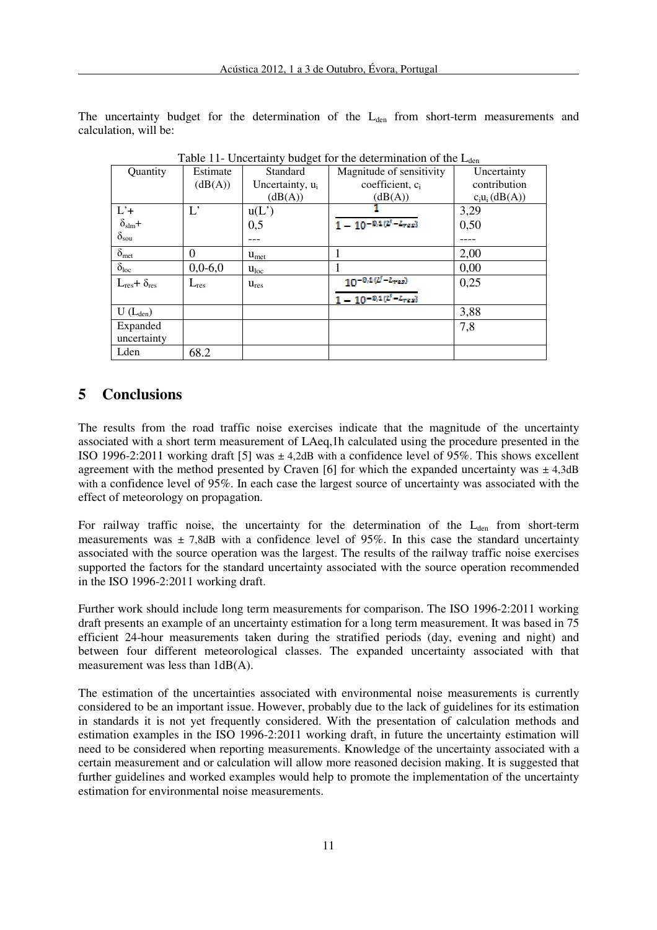The uncertainty budget for the determination of the  $L_{den}$  from short-term measurements and calculation, will be:

| Quantity                          | Estimate      | Standard                    | Magnitude of sensitivity                                    | Uncertainty       |
|-----------------------------------|---------------|-----------------------------|-------------------------------------------------------------|-------------------|
|                                   | (dB(A))       | Uncertainty, u <sub>i</sub> | coefficient, c <sub>i</sub>                                 | contribution      |
|                                   |               | (dB(A))                     | (dB(A))                                                     | $c_i u_i$ (dB(A)) |
| $L'+$                             | $L^{\bullet}$ | u(L')                       |                                                             | 3,29              |
| $\overline{\delta}_{\text{slm}}+$ |               | 0,5                         | $\overline{1-10^{-9/1} (t'-t_{res})}$                       | 0,50              |
| $\delta_{sou}$                    |               |                             |                                                             |                   |
| $\delta_{\rm met}$                | 0             | $u_{\text{met}}$            |                                                             | 2,00              |
| $\delta_{loc}$                    | $0,0-6,0$     | $u_{loc}$                   |                                                             | 0,00              |
| $L_{res} + \delta_{res}$          | $L_{res}$     | $u_{res}$                   | $\frac{10^{-9.1(z^2 - L_{res})}}{10^{-9.1(z^2 - L_{res})}}$ | 0,25              |
|                                   |               |                             | $\frac{1}{1-10^{-0.1(l'-L_{res})}}$                         |                   |
| $U(L_{den})$                      |               |                             |                                                             | 3,88              |
| Expanded                          |               |                             |                                                             | 7,8               |
| uncertainty                       |               |                             |                                                             |                   |
| Lden                              | 68.2          |                             |                                                             |                   |

Table 11- Uncertainty budget for the determination of the  $L_{den}$ 

## **5 Conclusions**

The results from the road traffic noise exercises indicate that the magnitude of the uncertainty associated with a short term measurement of LAeq,1h calculated using the procedure presented in the ISO 1996-2:2011 working draft [5] was  $\pm$  4,2dB with a confidence level of 95%. This shows excellent agreement with the method presented by Craven [6] for which the expanded uncertainty was  $\pm 4,3$ dB with a confidence level of 95%. In each case the largest source of uncertainty was associated with the effect of meteorology on propagation.

For railway traffic noise, the uncertainty for the determination of the  $L_{den}$  from short-term measurements was  $\pm$  7.8dB with a confidence level of 95%. In this case the standard uncertainty associated with the source operation was the largest. The results of the railway traffic noise exercises supported the factors for the standard uncertainty associated with the source operation recommended in the ISO 1996-2:2011 working draft.

Further work should include long term measurements for comparison. The ISO 1996-2:2011 working draft presents an example of an uncertainty estimation for a long term measurement. It was based in 75 efficient 24-hour measurements taken during the stratified periods (day, evening and night) and between four different meteorological classes. The expanded uncertainty associated with that measurement was less than 1dB(A).

The estimation of the uncertainties associated with environmental noise measurements is currently considered to be an important issue. However, probably due to the lack of guidelines for its estimation in standards it is not yet frequently considered. With the presentation of calculation methods and estimation examples in the ISO 1996-2:2011 working draft, in future the uncertainty estimation will need to be considered when reporting measurements. Knowledge of the uncertainty associated with a certain measurement and or calculation will allow more reasoned decision making. It is suggested that further guidelines and worked examples would help to promote the implementation of the uncertainty estimation for environmental noise measurements.